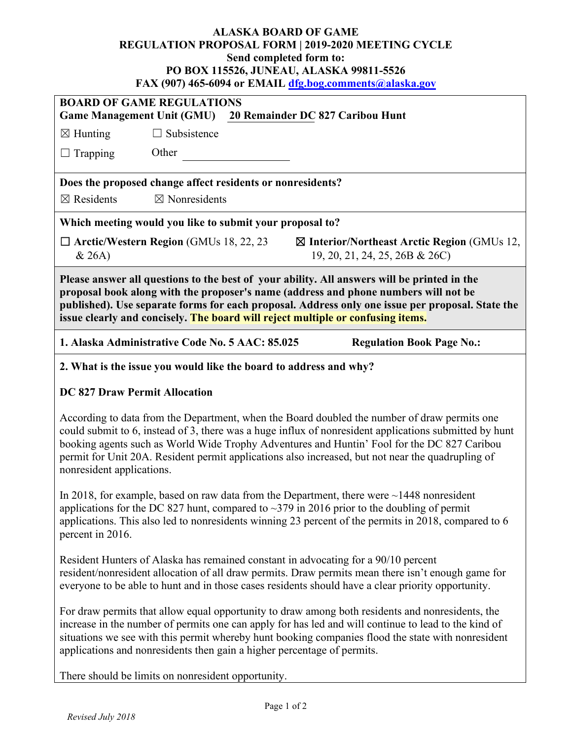## **ALASKA BOARD OF GAME REGULATION PROPOSAL FORM | 2019-2020 MEETING CYCLE Send completed form to: PO BOX 115526, JUNEAU, ALASKA 99811-5526 FAX (907) 465-6094 or EMAIL [dfg.bog.comments@alaska.gov](mailto:dfg.bog.comments@alaska.gov)**

| <b>BOARD OF GAME REGULATIONS</b><br><b>Game Management Unit (GMU)</b><br>20 Remainder DC 827 Caribou Hunt                                                                                                                                                                                                                                                                 |                          |  |                                                                                         |  |  |
|---------------------------------------------------------------------------------------------------------------------------------------------------------------------------------------------------------------------------------------------------------------------------------------------------------------------------------------------------------------------------|--------------------------|--|-----------------------------------------------------------------------------------------|--|--|
| $\boxtimes$ Hunting                                                                                                                                                                                                                                                                                                                                                       | $\Box$ Subsistence       |  |                                                                                         |  |  |
| Trapping                                                                                                                                                                                                                                                                                                                                                                  | Other                    |  |                                                                                         |  |  |
| Does the proposed change affect residents or nonresidents?                                                                                                                                                                                                                                                                                                                |                          |  |                                                                                         |  |  |
| $\boxtimes$ Residents                                                                                                                                                                                                                                                                                                                                                     | $\boxtimes$ Nonresidents |  |                                                                                         |  |  |
| Which meeting would you like to submit your proposal to?                                                                                                                                                                                                                                                                                                                  |                          |  |                                                                                         |  |  |
| $\Box$ Arctic/Western Region (GMUs 18, 22, 23)<br>& 26A)                                                                                                                                                                                                                                                                                                                  |                          |  | $\boxtimes$ Interior/Northeast Arctic Region (GMUs 12,<br>19, 20, 21, 24, 25, 26B & 26C |  |  |
| Please answer all questions to the best of your ability. All answers will be printed in the<br>proposal book along with the proposer's name (address and phone numbers will not be<br>published). Use separate forms for each proposal. Address only one issue per proposal. State the<br>issue clearly and concisely. The board will reject multiple or confusing items. |                          |  |                                                                                         |  |  |
| 1. Alaska Administrative Code No. 5 AAC: 85.025<br><b>Regulation Book Page No.:</b>                                                                                                                                                                                                                                                                                       |                          |  |                                                                                         |  |  |

**2. What is the issue you would like the board to address and why?**

## **DC 827 Draw Permit Allocation**

According to data from the Department, when the Board doubled the number of draw permits one could submit to 6, instead of 3, there was a huge influx of nonresident applications submitted by hunt booking agents such as World Wide Trophy Adventures and Huntin' Fool for the DC 827 Caribou permit for Unit 20A. Resident permit applications also increased, but not near the quadrupling of nonresident applications.

In 2018, for example, based on raw data from the Department, there were  $\sim$  1448 nonresident applications for the DC 827 hunt, compared to  $\sim$ 379 in 2016 prior to the doubling of permit applications. This also led to nonresidents winning 23 percent of the permits in 2018, compared to 6 percent in 2016.

Resident Hunters of Alaska has remained constant in advocating for a 90/10 percent resident/nonresident allocation of all draw permits. Draw permits mean there isn't enough game for everyone to be able to hunt and in those cases residents should have a clear priority opportunity.

For draw permits that allow equal opportunity to draw among both residents and nonresidents, the increase in the number of permits one can apply for has led and will continue to lead to the kind of situations we see with this permit whereby hunt booking companies flood the state with nonresident applications and nonresidents then gain a higher percentage of permits.

There should be limits on nonresident opportunity.